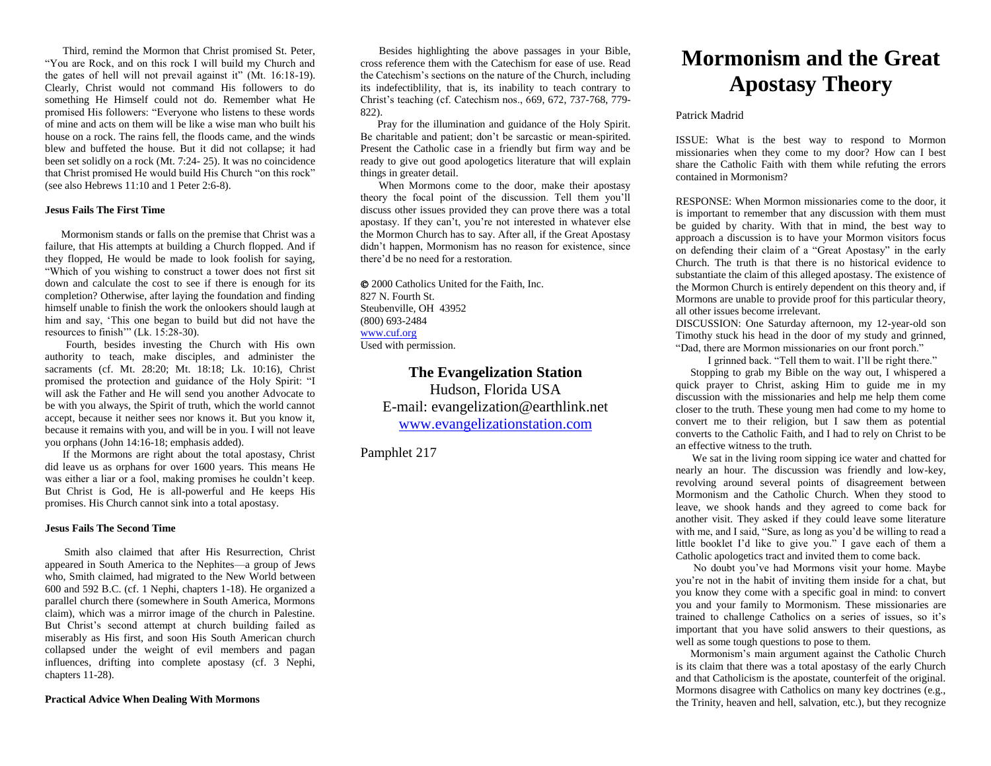Third, remind the Mormon that Christ promised St. Peter, "You are Rock, and on this rock I will build my Church and the gates of hell will not prevail against it" (Mt. 16:18-19). Clearly, Christ would not command His followers to do something He Himself could not do. Remember what He promised His followers: "Everyone who listens to these words of mine and acts on them will be like a wise man who built his house on a rock. The rains fell, the floods came, and the winds blew and buffeted the house. But it did not collapse; it had been set solidly on a rock (Mt. 7:24- 25). It was no coincidence that Christ promised He would build His Church "on this rock" (see also Hebrews 11:10 and 1 Peter 2:6-8).

### **Jesus Fails The First Time**

 Mormonism stands or falls on the premise that Christ was a failure, that His attempts at building a Church flopped. And if they flopped, He would be made to look foolish for saying, "Which of you wishing to construct a tower does not first sit down and calculate the cost to see if there is enough for its completion? Otherwise, after laying the foundation and finding himself unable to finish the work the onlookers should laugh at him and say, 'This one began to build but did not have the resources to finish'" (Lk. 15:28-30).

 Fourth, besides investing the Church with His own authority to teach, make disciples, and administer the sacraments (cf. Mt. 28:20; Mt. 18:18; Lk. 10:16), Christ promised the protection and guidance of the Holy Spirit: "I will ask the Father and He will send you another Advocate to be with you always, the Spirit of truth, which the world cannot accept, because it neither sees nor knows it. But you know it, because it remains with you, and will be in you. I will not leave you orphans (John 14:16-18; emphasis added).

 If the Mormons are right about the total apostasy, Christ did leave us as orphans for over 1600 years. This means He was either a liar or a fool, making promises he couldn't keep. But Christ is God, He is all-powerful and He keeps His promises. His Church cannot sink into a total apostasy.

### **Jesus Fails The Second Time**

 Smith also claimed that after His Resurrection, Christ appeared in South America to the Nephites—a group of Jews who, Smith claimed, had migrated to the New World between 600 and 592 B.C. (cf. 1 Nephi, chapters 1-18). He organized a parallel church there (somewhere in South America, Mormons claim), which was a mirror image of the church in Palestine. But Christ's second attempt at church building failed as miserably as His first, and soon His South American church collapsed under the weight of evil members and pagan influences, drifting into complete apostasy (cf. 3 Nephi, chapters 11-28).

#### **Practical Advice When Dealing With Mormons**

 Besides highlighting the above passages in your Bible, cross reference them with the Catechism for ease of use. Read the Catechism's sections on the nature of the Church, including its indefectiblility, that is, its inability to teach contrary to Christ's teaching (cf. Catechism nos., 669, 672, 737-768, 779- 822).

 Pray for the illumination and guidance of the Holy Spirit. Be charitable and patient; don't be sarcastic or mean-spirited. Present the Catholic case in a friendly but firm way and be ready to give out good apologetics literature that will explain things in greater detail.

 When Mormons come to the door, make their apostasy theory the focal point of the discussion. Tell them you'll discuss other issues provided they can prove there was a total apostasy. If they can't, you're not interested in whatever else the Mormon Church has to say. After all, if the Great Apostasy didn't happen, Mormonism has no reason for existence, since there'd be no need for a restoration.

 2000 Catholics United for the Faith, Inc. 827 N. Fourth St. Steubenville, OH 43952 (800) 693-2484 [www.cuf.org](http://www.cuf.org/) Used with permission.

> **The Evangelization Station** Hudson, Florida USA E-mail: evangelization@earthlink.net [www.evangelizationstation.com](http://www.pjpiisoe.org/)

Pamphlet 217

# **Mormonism and the Great Apostasy Theory**

### Patrick Madrid

ISSUE: What is the best way to respond to Mormon missionaries when they come to my door? How can I best share the Catholic Faith with them while refuting the errors contained in Mormonism?

RESPONSE: When Mormon missionaries come to the door, it is important to remember that any discussion with them must be guided by charity. With that in mind, the best way to approach a discussion is to have your Mormon visitors focus on defending their claim of a "Great Apostasy" in the early Church. The truth is that there is no historical evidence to substantiate the claim of this alleged apostasy. The existence of the Mormon Church is entirely dependent on this theory and, if Mormons are unable to provide proof for this particular theory, all other issues become irrelevant.

DISCUSSION: One Saturday afternoon, my 12-year-old son Timothy stuck his head in the door of my study and grinned, "Dad, there are Mormon missionaries on our front porch."

I grinned back. "Tell them to wait. I'll be right there."

 Stopping to grab my Bible on the way out, I whispered a quick prayer to Christ, asking Him to guide me in my discussion with the missionaries and help me help them come closer to the truth. These young men had come to my home to convert me to their religion, but I saw them as potential converts to the Catholic Faith, and I had to rely on Christ to be an effective witness to the truth.

 We sat in the living room sipping ice water and chatted for nearly an hour. The discussion was friendly and low-key, revolving around several points of disagreement between Mormonism and the Catholic Church. When they stood to leave, we shook hands and they agreed to come back for another visit. They asked if they could leave some literature with me, and I said, "Sure, as long as you'd be willing to read a little booklet I'd like to give you." I gave each of them a Catholic apologetics tract and invited them to come back.

 No doubt you've had Mormons visit your home. Maybe you're not in the habit of inviting them inside for a chat, but you know they come with a specific goal in mind: to convert you and your family to Mormonism. These missionaries are trained to challenge Catholics on a series of issues, so it's important that you have solid answers to their questions, as well as some tough questions to pose to them.

 Mormonism's main argument against the Catholic Church is its claim that there was a total apostasy of the early Church and that Catholicism is the apostate, counterfeit of the original. Mormons disagree with Catholics on many key doctrines (e.g., the Trinity, heaven and hell, salvation, etc.), but they recognize